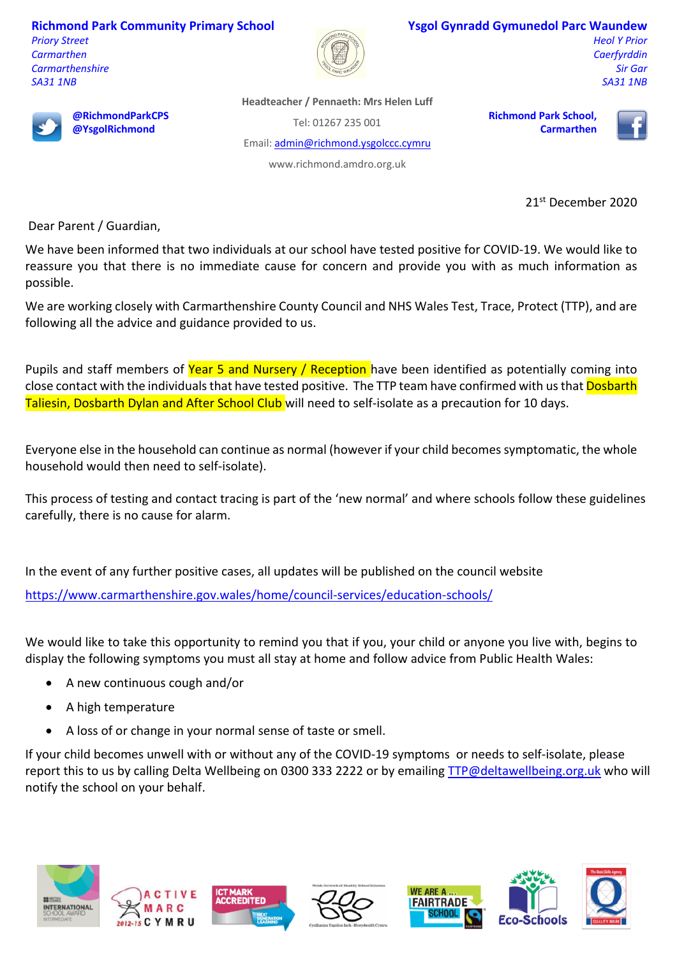**Richmond Park Community Primary School**

*Priory Street Carmarthen Carmarthenshire SA31 1NB*



## **Ysgol Gynradd Gymunedol Parc Waundew**

*Heol Y Prior Caerfyrddin Sir Gar SA31 1NB*



**@RichmondParkCPS @YsgolRichmond**

**Headteacher / Pennaeth: Mrs Helen Luff**

Tel: 01267 235 001

Email: admin@richmond.ysgolccc.cymru

www.richmond.amdro.org.uk

**Richmond Park School, Carmarthen**



21st December 2020

Dear Parent / Guardian,

We have been informed that two individuals at our school have tested positive for COVID-19. We would like to reassure you that there is no immediate cause for concern and provide you with as much information as possible.

We are working closely with Carmarthenshire County Council and NHS Wales Test, Trace, Protect (TTP), and are following all the advice and guidance provided to us.

Pupils and staff members of Year 5 and Nursery / Reception have been identified as potentially coming into close contact with the individuals that have tested positive. The TTP team have confirmed with us that Dosbarth Taliesin, Dosbarth Dylan and After School Club will need to self-isolate as a precaution for 10 days.

Everyone else in the household can continue as normal (however if your child becomes symptomatic, the whole household would then need to self-isolate).

This process of testing and contact tracing is part of the 'new normal' and where schools follow these guidelines carefully, there is no cause for alarm.

In the event of any further positive cases, all updates will be published on the council website https://www.carmarthenshire.gov.wales/home/council-services/education-schools/

We would like to take this opportunity to remind you that if you, your child or anyone you live with, begins to display the following symptoms you must all stay at home and follow advice from Public Health Wales:

- A new continuous cough and/or
- A high temperature
- A loss of or change in your normal sense of taste or smell.

If your child becomes unwell with or without any of the COVID-19 symptoms or needs to self-isolate, please report this to us by calling Delta Wellbeing on 0300 333 2222 or by emailing TTP@deltawellbeing.org.uk who will notify the school on your behalf.